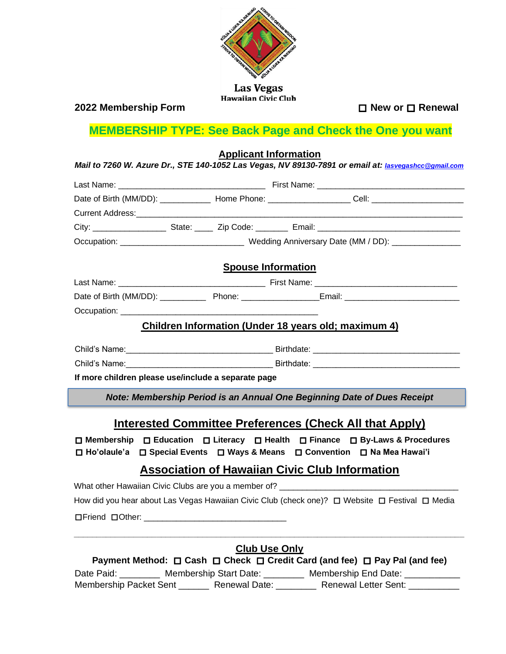

#### **2022 Membership Form** □ **New or** □ **Renewal**

# **MEMBERSHIP TYPE: See Back Page and Check the One you want**

**Applicant Information**  *Mail to 7260 W. Azure Dr., STE 140-1052 Las Vegas, NV 89130-7891 or email at: lasvegashcc@gmail.com* Last Name: \_\_\_\_\_\_\_\_\_\_\_\_\_\_\_\_\_\_\_\_\_\_\_\_\_\_\_\_\_\_\_\_ First Name: \_\_\_\_\_\_\_\_\_\_\_\_\_\_\_\_\_\_\_\_\_\_\_\_\_\_\_\_\_\_\_\_ Date of Birth (MM/DD): \_\_\_\_\_\_\_\_\_\_\_\_\_\_ Home Phone: \_\_\_\_\_\_\_\_\_\_\_\_\_\_\_\_\_\_\_\_\_\_Cell: \_\_\_\_\_\_\_\_\_\_\_\_\_\_\_\_\_\_\_\_\_\_\_\_\_\_\_\_\_\_\_\_ Current Address: City: \_\_\_\_\_\_\_\_\_\_\_\_\_\_\_\_ State: \_\_\_\_ Zip Code: \_\_\_\_\_\_\_ Email: \_\_\_\_\_\_\_\_\_\_\_\_\_\_\_\_\_\_\_\_\_\_\_\_\_\_\_\_\_\_\_ Occupation: \_\_\_\_\_\_\_\_\_\_\_\_\_\_\_\_\_\_\_\_\_\_\_\_\_\_\_\_\_\_Wedding Anniversary Date (MM / DD): \_\_\_\_\_\_\_\_ **Spouse Information** Last Name: \_\_\_\_\_\_\_\_\_\_\_\_\_\_\_\_\_\_\_\_\_\_\_\_\_\_\_\_\_\_\_\_ First Name: \_\_\_\_\_\_\_\_\_\_\_\_\_\_\_\_\_\_\_\_\_\_\_\_\_\_\_\_\_\_\_ Date of Birth (MM/DD): example Phone: example a Email: Email:  $\blacksquare$ Occupation: **Children Information (Under 18 years old; maximum 4)** Child's Name:\_\_\_\_\_\_\_\_\_\_\_\_\_\_\_\_\_\_\_\_\_\_\_\_\_\_\_\_\_\_\_\_ Birthdate: \_\_\_\_\_\_\_\_\_\_\_\_\_\_\_\_\_\_\_\_\_\_\_\_\_\_\_\_\_\_\_\_ Child's Name:\_\_\_\_\_\_\_\_\_\_\_\_\_\_\_\_\_\_\_\_\_\_\_\_\_\_\_\_\_\_\_\_ Birthdate: \_\_\_\_\_\_\_\_\_\_\_\_\_\_\_\_\_\_\_\_\_\_\_\_\_\_\_\_\_\_\_\_ **If more children please use/include a separate page** *Note: Membership Period is an Annual One Beginning Date of Dues Receipt*

### **Interested Committee Preferences (Check All that Apply)**

□ **Membership** □ **Education** □ **Literacy** □ **Health** □ **Finance** □ **By-Laws & Procedures**  □ **Ho'olaule'a** □ **Special Events** □ **Ways & Means** □ **Convention** □ **Na Mea Hawai'i**

## **Association of Hawaiian Civic Club Information**

| What other Hawaiian Civic Clubs are you a member of? _____                                     |  |  |
|------------------------------------------------------------------------------------------------|--|--|
| How did you hear about Las Vegas Hawaiian Civic Club (check one)? ロ Website ロ Festival ロ Media |  |  |
| $\Box$ Friend $\Box$ Other:                                                                    |  |  |

| <b>Club Use Only</b>                                                       |                          |                             |  |
|----------------------------------------------------------------------------|--------------------------|-----------------------------|--|
| Payment Method: □ Cash □ Check □ Credit Card (and fee) □ Pay Pal (and fee) |                          |                             |  |
| Date Paid:                                                                 | Membership Start Date: _ | Membership End Date:        |  |
| Membership Packet Sent                                                     | <b>Renewal Date:</b>     | <b>Renewal Letter Sent:</b> |  |

**\_\_\_\_\_\_\_\_\_\_\_\_\_\_\_\_\_\_\_\_\_\_\_\_\_\_\_\_\_\_\_\_\_\_\_\_\_\_\_\_\_\_\_\_\_\_\_\_\_\_\_\_\_\_\_\_\_\_\_\_\_\_\_\_\_\_\_\_\_\_\_\_\_\_\_\_\_\_\_\_\_\_\_\_\_**